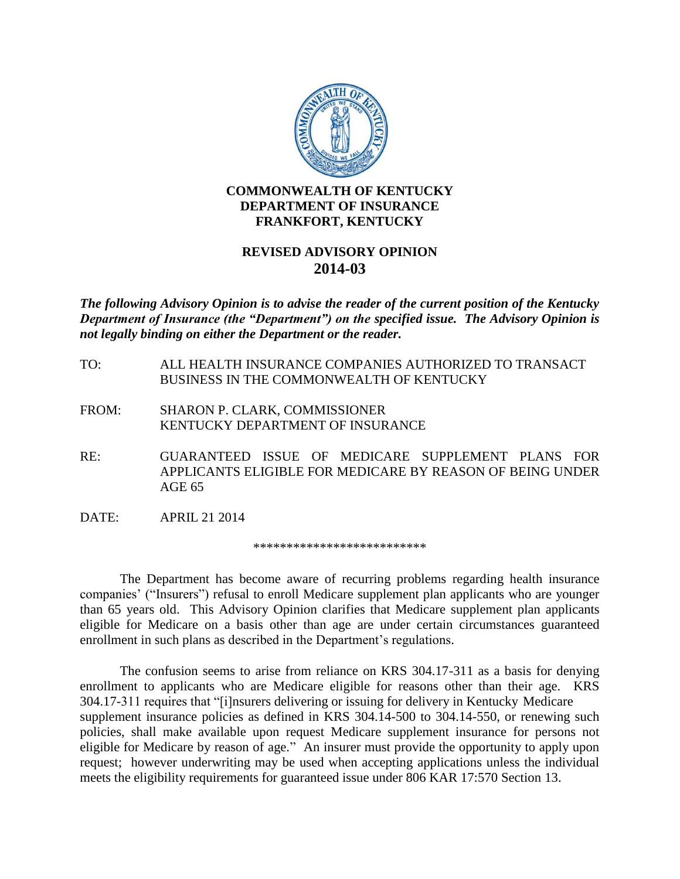

## **COMMONWEALTH OF KENTUCKY DEPARTMENT OF INSURANCE FRANKFORT, KENTUCKY**

## **REVISED ADVISORY OPINION 2014-03**

*The following Advisory Opinion is to advise the reader of the current position of the Kentucky Department of Insurance (the "Department") on the specified issue. The Advisory Opinion is not legally binding on either the Department or the reader.*

- TO: ALL HEALTH INSURANCE COMPANIES AUTHORIZED TO TRANSACT BUSINESS IN THE COMMONWEALTH OF KENTUCKY
- FROM: SHARON P. CLARK, COMMISSIONER KENTUCKY DEPARTMENT OF INSURANCE
- RE: GUARANTEED ISSUE OF MEDICARE SUPPLEMENT PLANS FOR APPLICANTS ELIGIBLE FOR MEDICARE BY REASON OF BEING UNDER AGE 65
- DATE: APRIL 21 2014

\*\*\*\*\*\*\*\*\*\*\*\*\*\*\*\*\*\*\*\*\*\*\*\*\*\*

The Department has become aware of recurring problems regarding health insurance companies' ("Insurers") refusal to enroll Medicare supplement plan applicants who are younger than 65 years old. This Advisory Opinion clarifies that Medicare supplement plan applicants eligible for Medicare on a basis other than age are under certain circumstances guaranteed enrollment in such plans as described in the Department's regulations.

The confusion seems to arise from reliance on KRS 304.17-311 as a basis for denying enrollment to applicants who are Medicare eligible for reasons other than their age. KRS 304.17-311 requires that "[i]nsurers delivering or issuing for delivery in Kentucky Medicare supplement insurance policies as defined in KRS 304.14-500 to 304.14-550, or renewing such policies, shall make available upon request Medicare supplement insurance for persons not eligible for Medicare by reason of age." An insurer must provide the opportunity to apply upon request; however underwriting may be used when accepting applications unless the individual meets the eligibility requirements for guaranteed issue under 806 KAR 17:570 Section 13.